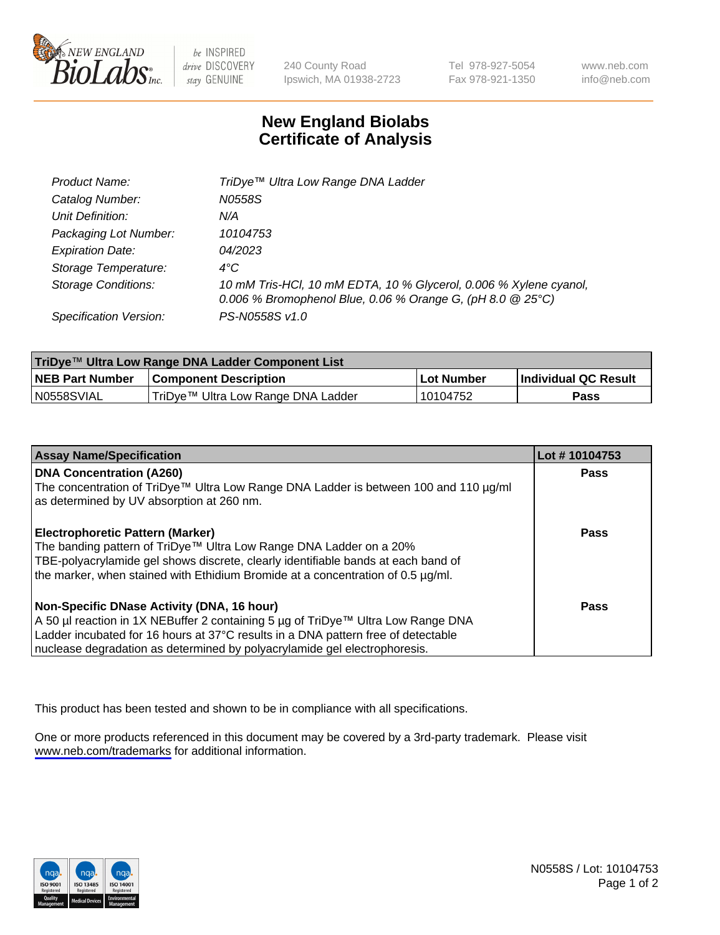

be INSPIRED drive DISCOVERY stay GENUINE

240 County Road Ipswich, MA 01938-2723 Tel 978-927-5054 Fax 978-921-1350

www.neb.com info@neb.com

## **New England Biolabs Certificate of Analysis**

| Product Name:              | TriDye™ Ultra Low Range DNA Ladder                                                                                                |
|----------------------------|-----------------------------------------------------------------------------------------------------------------------------------|
| Catalog Number:            | N0558S                                                                                                                            |
| Unit Definition:           | N/A                                                                                                                               |
| Packaging Lot Number:      | 10104753                                                                                                                          |
| <b>Expiration Date:</b>    | 04/2023                                                                                                                           |
| Storage Temperature:       | $4^{\circ}$ C                                                                                                                     |
| <b>Storage Conditions:</b> | 10 mM Tris-HCl, 10 mM EDTA, 10 % Glycerol, 0.006 % Xylene cyanol,<br>0.006 % Bromophenol Blue, 0.06 % Orange G, (pH 8.0 $@25°C$ ) |
| Specification Version:     | PS-N0558S v1.0                                                                                                                    |

| TriDye™ Ultra Low Range DNA Ladder Component List |                                    |             |                      |  |
|---------------------------------------------------|------------------------------------|-------------|----------------------|--|
| <b>NEB Part Number</b>                            | <b>Component Description</b>       | ∣Lot Number | Individual QC Result |  |
| N0558SVIAL                                        | TriDye™ Ultra Low Range DNA Ladder | l 10104752  | Pass                 |  |

| <b>Assay Name/Specification</b>                                                                                                   | Lot #10104753 |
|-----------------------------------------------------------------------------------------------------------------------------------|---------------|
| <b>DNA Concentration (A260)</b>                                                                                                   | <b>Pass</b>   |
| The concentration of TriDye™ Ultra Low Range DNA Ladder is between 100 and 110 µg/ml<br>as determined by UV absorption at 260 nm. |               |
| <b>Electrophoretic Pattern (Marker)</b>                                                                                           | Pass          |
| The banding pattern of TriDye™ Ultra Low Range DNA Ladder on a 20%                                                                |               |
| TBE-polyacrylamide gel shows discrete, clearly identifiable bands at each band of                                                 |               |
| the marker, when stained with Ethidium Bromide at a concentration of 0.5 µg/ml.                                                   |               |
| Non-Specific DNase Activity (DNA, 16 hour)                                                                                        | Pass          |
| A 50 µl reaction in 1X NEBuffer 2 containing 5 µg of TriDye™ Ultra Low Range DNA                                                  |               |
| Ladder incubated for 16 hours at 37°C results in a DNA pattern free of detectable                                                 |               |
| nuclease degradation as determined by polyacrylamide gel electrophoresis.                                                         |               |

This product has been tested and shown to be in compliance with all specifications.

One or more products referenced in this document may be covered by a 3rd-party trademark. Please visit <www.neb.com/trademarks>for additional information.